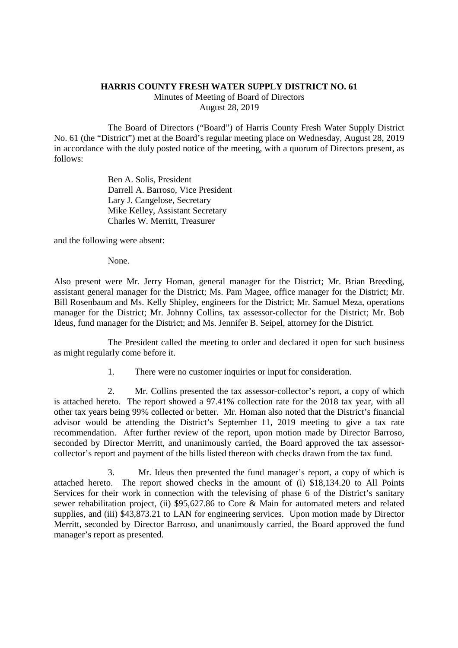## **HARRIS COUNTY FRESH WATER SUPPLY DISTRICT NO. 61**

Minutes of Meeting of Board of Directors August 28, 2019

The Board of Directors ("Board") of Harris County Fresh Water Supply District No. 61 (the "District") met at the Board's regular meeting place on Wednesday, August 28, 2019 in accordance with the duly posted notice of the meeting, with a quorum of Directors present, as follows:

> Ben A. Solis, President Darrell A. Barroso, Vice President Lary J. Cangelose, Secretary Mike Kelley, Assistant Secretary Charles W. Merritt, Treasurer

and the following were absent:

None.

Also present were Mr. Jerry Homan, general manager for the District; Mr. Brian Breeding, assistant general manager for the District; Ms. Pam Magee, office manager for the District; Mr. Bill Rosenbaum and Ms. Kelly Shipley, engineers for the District; Mr. Samuel Meza, operations manager for the District; Mr. Johnny Collins, tax assessor-collector for the District; Mr. Bob Ideus, fund manager for the District; and Ms. Jennifer B. Seipel, attorney for the District.

The President called the meeting to order and declared it open for such business as might regularly come before it.

1. There were no customer inquiries or input for consideration.

2. Mr. Collins presented the tax assessor-collector's report, a copy of which is attached hereto. The report showed a 97.41% collection rate for the 2018 tax year, with all other tax years being 99% collected or better. Mr. Homan also noted that the District's financial advisor would be attending the District's September 11, 2019 meeting to give a tax rate recommendation. After further review of the report, upon motion made by Director Barroso, seconded by Director Merritt, and unanimously carried, the Board approved the tax assessorcollector's report and payment of the bills listed thereon with checks drawn from the tax fund.

3. Mr. Ideus then presented the fund manager's report, a copy of which is attached hereto. The report showed checks in the amount of (i) \$18,134.20 to All Points Services for their work in connection with the televising of phase 6 of the District's sanitary sewer rehabilitation project, (ii) \$95,627.86 to Core & Main for automated meters and related supplies, and (iii) \$43,873.21 to LAN for engineering services. Upon motion made by Director Merritt, seconded by Director Barroso, and unanimously carried, the Board approved the fund manager's report as presented.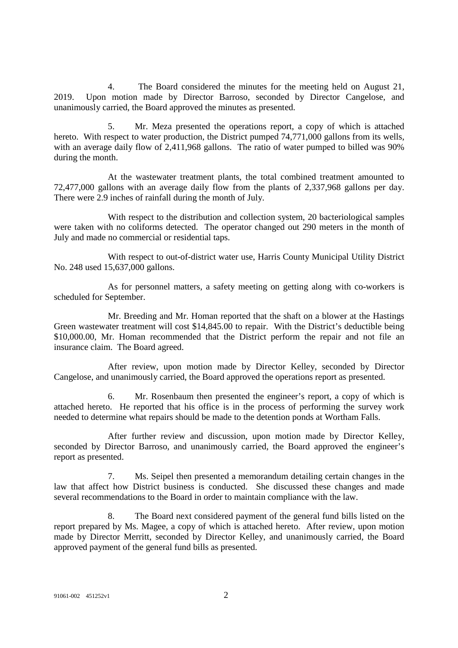4. The Board considered the minutes for the meeting held on August 21, 2019. Upon motion made by Director Barroso, seconded by Director Cangelose, and unanimously carried, the Board approved the minutes as presented.

5. Mr. Meza presented the operations report, a copy of which is attached hereto. With respect to water production, the District pumped 74,771,000 gallons from its wells, with an average daily flow of 2,411,968 gallons. The ratio of water pumped to billed was 90% during the month.

At the wastewater treatment plants, the total combined treatment amounted to 72,477,000 gallons with an average daily flow from the plants of 2,337,968 gallons per day. There were 2.9 inches of rainfall during the month of July.

With respect to the distribution and collection system, 20 bacteriological samples were taken with no coliforms detected. The operator changed out 290 meters in the month of July and made no commercial or residential taps.

With respect to out-of-district water use, Harris County Municipal Utility District No. 248 used 15,637,000 gallons.

As for personnel matters, a safety meeting on getting along with co-workers is scheduled for September.

Mr. Breeding and Mr. Homan reported that the shaft on a blower at the Hastings Green wastewater treatment will cost \$14,845.00 to repair. With the District's deductible being \$10,000.00, Mr. Homan recommended that the District perform the repair and not file an insurance claim. The Board agreed.

After review, upon motion made by Director Kelley, seconded by Director Cangelose, and unanimously carried, the Board approved the operations report as presented.

6. Mr. Rosenbaum then presented the engineer's report, a copy of which is attached hereto. He reported that his office is in the process of performing the survey work needed to determine what repairs should be made to the detention ponds at Wortham Falls.

After further review and discussion, upon motion made by Director Kelley, seconded by Director Barroso, and unanimously carried, the Board approved the engineer's report as presented.

7. Ms. Seipel then presented a memorandum detailing certain changes in the law that affect how District business is conducted. She discussed these changes and made several recommendations to the Board in order to maintain compliance with the law.

8. The Board next considered payment of the general fund bills listed on the report prepared by Ms. Magee, a copy of which is attached hereto. After review, upon motion made by Director Merritt, seconded by Director Kelley, and unanimously carried, the Board approved payment of the general fund bills as presented.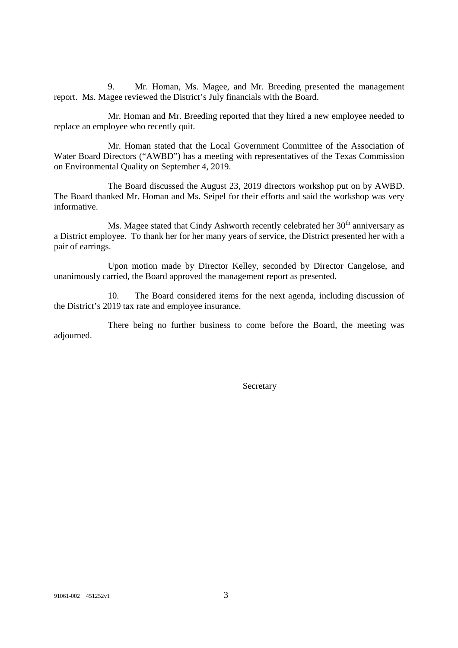9. Mr. Homan, Ms. Magee, and Mr. Breeding presented the management report. Ms. Magee reviewed the District's July financials with the Board.

Mr. Homan and Mr. Breeding reported that they hired a new employee needed to replace an employee who recently quit.

Mr. Homan stated that the Local Government Committee of the Association of Water Board Directors ("AWBD") has a meeting with representatives of the Texas Commission on Environmental Quality on September 4, 2019.

The Board discussed the August 23, 2019 directors workshop put on by AWBD. The Board thanked Mr. Homan and Ms. Seipel for their efforts and said the workshop was very informative.

Ms. Magee stated that Cindy Ashworth recently celebrated her  $30<sup>th</sup>$  anniversary as a District employee. To thank her for her many years of service, the District presented her with a pair of earrings.

Upon motion made by Director Kelley, seconded by Director Cangelose, and unanimously carried, the Board approved the management report as presented.

10. The Board considered items for the next agenda, including discussion of the District's 2019 tax rate and employee insurance.

There being no further business to come before the Board, the meeting was adjourned.

**Secretary**